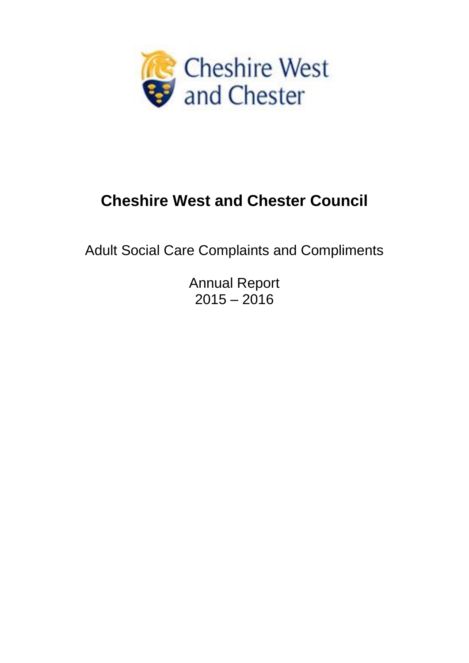

# **Cheshire West and Chester Council**

Adult Social Care Complaints and Compliments

Annual Report  $2015 - 2016$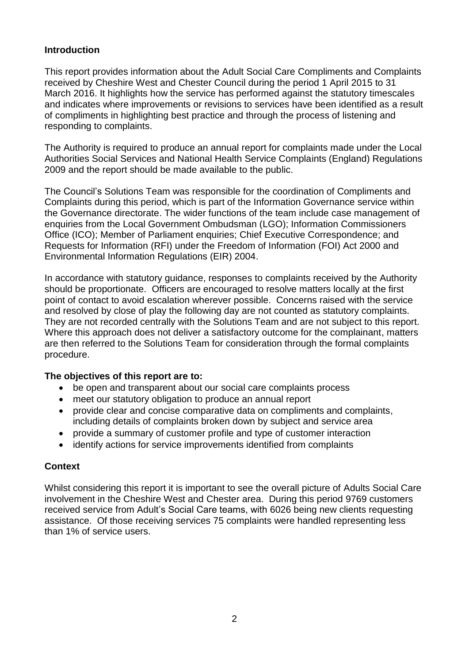#### **Introduction**

This report provides information about the Adult Social Care Compliments and Complaints received by Cheshire West and Chester Council during the period 1 April 2015 to 31 March 2016. It highlights how the service has performed against the statutory timescales and indicates where improvements or revisions to services have been identified as a result of compliments in highlighting best practice and through the process of listening and responding to complaints.

The Authority is required to produce an annual report for complaints made under the Local Authorities Social Services and National Health Service Complaints (England) Regulations 2009 and the report should be made available to the public.

The Council's Solutions Team was responsible for the coordination of Compliments and Complaints during this period, which is part of the Information Governance service within the Governance directorate. The wider functions of the team include case management of enquiries from the Local Government Ombudsman (LGO); Information Commissioners Office (ICO); Member of Parliament enquiries; Chief Executive Correspondence; and Requests for Information (RFI) under the Freedom of Information (FOI) Act 2000 and Environmental Information Regulations (EIR) 2004.

In accordance with statutory guidance, responses to complaints received by the Authority should be proportionate. Officers are encouraged to resolve matters locally at the first point of contact to avoid escalation wherever possible. Concerns raised with the service and resolved by close of play the following day are not counted as statutory complaints. They are not recorded centrally with the Solutions Team and are not subject to this report. Where this approach does not deliver a satisfactory outcome for the complainant, matters are then referred to the Solutions Team for consideration through the formal complaints procedure.

#### **The objectives of this report are to:**

- be open and transparent about our social care complaints process
- meet our statutory obligation to produce an annual report
- provide clear and concise comparative data on compliments and complaints, including details of complaints broken down by subject and service area
- provide a summary of customer profile and type of customer interaction
- identify actions for service improvements identified from complaints

#### **Context**

Whilst considering this report it is important to see the overall picture of Adults Social Care involvement in the Cheshire West and Chester area. During this period 9769 customers received service from Adult's Social Care teams, with 6026 being new clients requesting assistance. Of those receiving services 75 complaints were handled representing less than 1% of service users.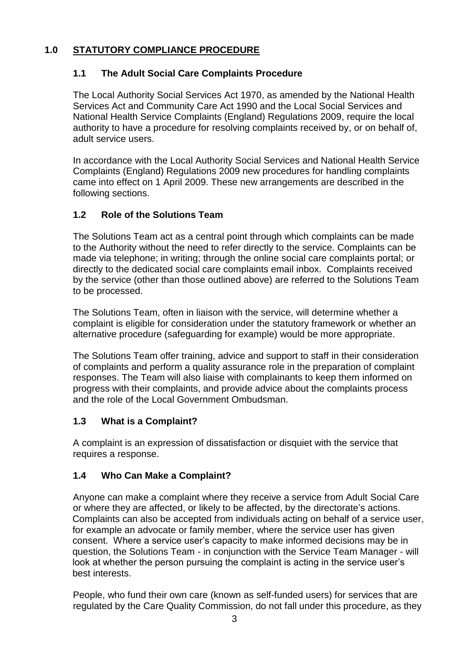# **1.0 STATUTORY COMPLIANCE PROCEDURE**

# **1.1 The Adult Social Care Complaints Procedure**

The Local Authority Social Services Act 1970, as amended by the National Health Services Act and Community Care Act 1990 and the Local Social Services and National Health Service Complaints (England) Regulations 2009, require the local authority to have a procedure for resolving complaints received by, or on behalf of, adult service users.

In accordance with the Local Authority Social Services and National Health Service Complaints (England) Regulations 2009 new procedures for handling complaints came into effect on 1 April 2009. These new arrangements are described in the following sections.

## **1.2 Role of the Solutions Team**

The Solutions Team act as a central point through which complaints can be made to the Authority without the need to refer directly to the service. Complaints can be made via telephone; in writing; through the online social care complaints portal; or directly to the dedicated social care complaints email inbox. Complaints received by the service (other than those outlined above) are referred to the Solutions Team to be processed.

The Solutions Team, often in liaison with the service, will determine whether a complaint is eligible for consideration under the statutory framework or whether an alternative procedure (safeguarding for example) would be more appropriate.

The Solutions Team offer training, advice and support to staff in their consideration of complaints and perform a quality assurance role in the preparation of complaint responses. The Team will also liaise with complainants to keep them informed on progress with their complaints, and provide advice about the complaints process and the role of the Local Government Ombudsman.

# **1.3 What is a Complaint?**

A complaint is an expression of dissatisfaction or disquiet with the service that requires a response.

# **1.4 Who Can Make a Complaint?**

Anyone can make a complaint where they receive a service from Adult Social Care or where they are affected, or likely to be affected, by the directorate's actions. Complaints can also be accepted from individuals acting on behalf of a service user, for example an advocate or family member, where the service user has given consent. Where a service user's capacity to make informed decisions may be in question, the Solutions Team - in conjunction with the Service Team Manager - will look at whether the person pursuing the complaint is acting in the service user's best interests.

People, who fund their own care (known as self-funded users) for services that are regulated by the Care Quality Commission, do not fall under this procedure, as they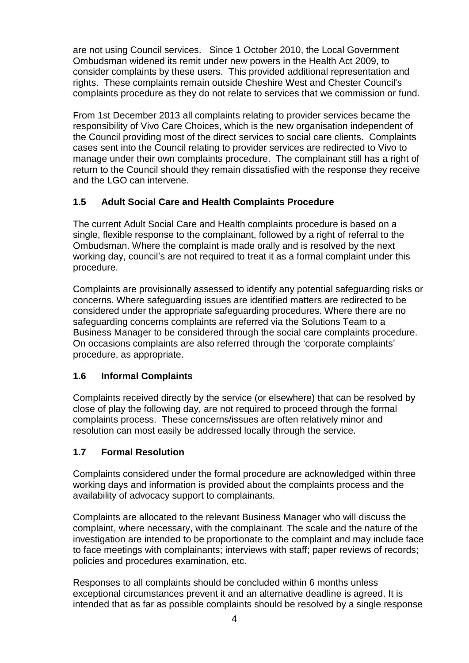are not using Council services. Since 1 October 2010, the Local Government Ombudsman widened its remit under new powers in the Health Act 2009, to consider complaints by these users. This provided additional representation and rights. These complaints remain outside Cheshire West and Chester Council's complaints procedure as they do not relate to services that we commission or fund.

From 1st December 2013 all complaints relating to provider services became the responsibility of Vivo Care Choices, which is the new organisation independent of the Council providing most of the direct services to social care clients. Complaints cases sent into the Council relating to provider services are redirected to Vivo to manage under their own complaints procedure. The complainant still has a right of return to the Council should they remain dissatisfied with the response they receive and the LGO can intervene.

## **1.5 Adult Social Care and Health Complaints Procedure**

The current Adult Social Care and Health complaints procedure is based on a single, flexible response to the complainant, followed by a right of referral to the Ombudsman. Where the complaint is made orally and is resolved by the next working day, council's are not required to treat it as a formal complaint under this procedure.

Complaints are provisionally assessed to identify any potential safeguarding risks or concerns. Where safeguarding issues are identified matters are redirected to be considered under the appropriate safeguarding procedures. Where there are no safeguarding concerns complaints are referred via the Solutions Team to a Business Manager to be considered through the social care complaints procedure. On occasions complaints are also referred through the 'corporate complaints' procedure, as appropriate.

### **1.6 Informal Complaints**

Complaints received directly by the service (or elsewhere) that can be resolved by close of play the following day, are not required to proceed through the formal complaints process. These concerns/issues are often relatively minor and resolution can most easily be addressed locally through the service.

### **1.7 Formal Resolution**

Complaints considered under the formal procedure are acknowledged within three working days and information is provided about the complaints process and the availability of advocacy support to complainants.

Complaints are allocated to the relevant Business Manager who will discuss the complaint, where necessary, with the complainant. The scale and the nature of the investigation are intended to be proportionate to the complaint and may include face to face meetings with complainants; interviews with staff; paper reviews of records; policies and procedures examination, etc.

Responses to all complaints should be concluded within 6 months unless exceptional circumstances prevent it and an alternative deadline is agreed. It is intended that as far as possible complaints should be resolved by a single response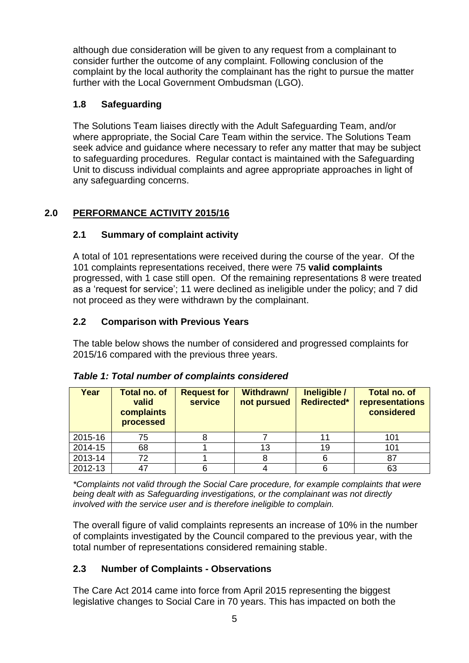although due consideration will be given to any request from a complainant to consider further the outcome of any complaint. Following conclusion of the complaint by the local authority the complainant has the right to pursue the matter further with the Local Government Ombudsman (LGO).

# **1.8 Safeguarding**

The Solutions Team liaises directly with the Adult Safeguarding Team, and/or where appropriate, the Social Care Team within the service. The Solutions Team seek advice and guidance where necessary to refer any matter that may be subject to safeguarding procedures. Regular contact is maintained with the Safeguarding Unit to discuss individual complaints and agree appropriate approaches in light of any safeguarding concerns.

# **2.0 PERFORMANCE ACTIVITY 2015/16**

# **2.1 Summary of complaint activity**

A total of 101 representations were received during the course of the year. Of the 101 complaints representations received, there were 75 **valid complaints** progressed, with 1 case still open. Of the remaining representations 8 were treated as a 'request for service'; 11 were declined as ineligible under the policy; and 7 did not proceed as they were withdrawn by the complainant.

## **2.2 Comparison with Previous Years**

The table below shows the number of considered and progressed complaints for 2015/16 compared with the previous three years.

| Year    | <b>Total no. of</b><br>valid<br>complaints<br>processed | <b>Request for</b><br><b>service</b> | Withdrawn/<br>not pursued | Ineligible /<br><b>Redirected*</b> | <b>Total no. of</b><br>representations<br>considered |
|---------|---------------------------------------------------------|--------------------------------------|---------------------------|------------------------------------|------------------------------------------------------|
| 2015-16 | 75                                                      |                                      |                           |                                    | 101                                                  |
| 2014-15 | 68                                                      |                                      | 13                        | 19                                 | 101                                                  |
| 2013-14 | 72                                                      |                                      |                           |                                    |                                                      |
| 2012-13 |                                                         |                                      |                           |                                    | 63                                                   |

### *Table 1: Total number of complaints considered*

*\*Complaints not valid through the Social Care procedure, for example complaints that were being dealt with as Safeguarding investigations, or the complainant was not directly involved with the service user and is therefore ineligible to complain.*

The overall figure of valid complaints represents an increase of 10% in the number of complaints investigated by the Council compared to the previous year, with the total number of representations considered remaining stable.

# **2.3 Number of Complaints - Observations**

The Care Act 2014 came into force from April 2015 representing the biggest legislative changes to Social Care in 70 years. This has impacted on both the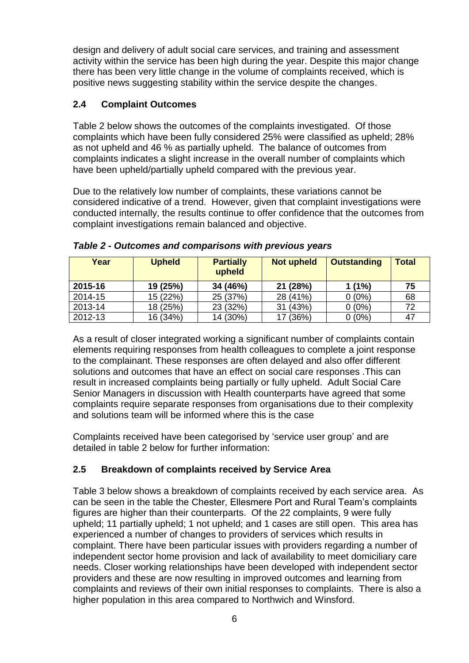design and delivery of adult social care services, and training and assessment activity within the service has been high during the year. Despite this major change there has been very little change in the volume of complaints received, which is positive news suggesting stability within the service despite the changes.

# **2.4 Complaint Outcomes**

Table 2 below shows the outcomes of the complaints investigated. Of those complaints which have been fully considered 25% were classified as upheld; 28% as not upheld and 46 % as partially upheld. The balance of outcomes from complaints indicates a slight increase in the overall number of complaints which have been upheld/partially upheld compared with the previous year.

Due to the relatively low number of complaints, these variations cannot be considered indicative of a trend. However, given that complaint investigations were conducted internally, the results continue to offer confidence that the outcomes from complaint investigations remain balanced and objective.

| Year    | <b>Upheld</b> | <b>Partially</b><br>upheld | <b>Not upheld</b> | <b>Outstanding</b> | <b>Total</b> |
|---------|---------------|----------------------------|-------------------|--------------------|--------------|
| 2015-16 | 19 (25%)      | 34 (46%)                   | 21 (28%)          | $1(1\%)$           | 75           |
| 2014-15 | 15 (22%)      | 25 (37%)                   | 28 (41%)          | $0(0\%)$           | 68           |
| 2013-14 | 18 (25%)      | 23 (32%)                   | 31 (43%)          | $0(0\%)$           | 72           |
| 2012-13 | 16 (34%)      | 14 (30%)                   | 17 (36%)          | $0(0\%)$           | 47           |

*Table 2 - Outcomes and comparisons with previous years*

As a result of closer integrated working a significant number of complaints contain elements requiring responses from health colleagues to complete a joint response to the complainant. These responses are often delayed and also offer different solutions and outcomes that have an effect on social care responses .This can result in increased complaints being partially or fully upheld. Adult Social Care Senior Managers in discussion with Health counterparts have agreed that some complaints require separate responses from organisations due to their complexity and solutions team will be informed where this is the case

Complaints received have been categorised by 'service user group' and are detailed in table 2 below for further information:

# **2.5 Breakdown of complaints received by Service Area**

Table 3 below shows a breakdown of complaints received by each service area. As can be seen in the table the Chester, Ellesmere Port and Rural Team's complaints figures are higher than their counterparts. Of the 22 complaints, 9 were fully upheld; 11 partially upheld; 1 not upheld; and 1 cases are still open. This area has experienced a number of changes to providers of services which results in complaint. There have been particular issues with providers regarding a number of independent sector home provision and lack of availability to meet domiciliary care needs. Closer working relationships have been developed with independent sector providers and these are now resulting in improved outcomes and learning from complaints and reviews of their own initial responses to complaints. There is also a higher population in this area compared to Northwich and Winsford.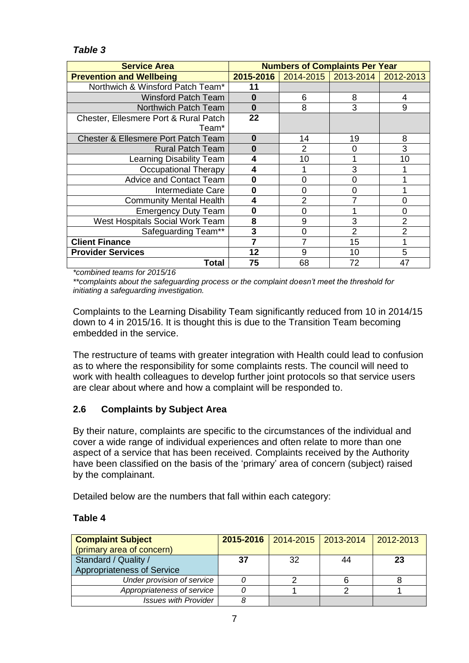## *Table 3*

| <b>Service Area</b>                            | <b>Numbers of Complaints Per Year</b> |    |                                               |                |
|------------------------------------------------|---------------------------------------|----|-----------------------------------------------|----------------|
| <b>Prevention and Wellbeing</b>                |                                       |    | 2015-2016   2014-2015   2013-2014   2012-2013 |                |
| Northwich & Winsford Patch Team*               | 11                                    |    |                                               |                |
| <b>Winsford Patch Team</b>                     | $\bf{0}$                              | 6  | 8                                             | 4              |
| Northwich Patch Team                           | $\bf{0}$                              | 8  | 3                                             | 9              |
| Chester, Ellesmere Port & Rural Patch          | 22                                    |    |                                               |                |
| Team*                                          |                                       |    |                                               |                |
| <b>Chester &amp; Ellesmere Port Patch Team</b> | $\bf{0}$                              | 14 | 19                                            | 8              |
| <b>Rural Patch Team</b>                        | $\bf{0}$                              | 2  | O                                             | 3              |
| Learning Disability Team                       | 4                                     | 10 |                                               | 10             |
| <b>Occupational Therapy</b>                    | 4                                     |    | 3                                             |                |
| <b>Advice and Contact Team</b>                 | $\bf{0}$                              | 0  | Ω                                             |                |
| Intermediate Care                              | $\bf{0}$                              | 0  | O                                             |                |
| <b>Community Mental Health</b>                 | 4                                     | 2  |                                               | ሰ              |
| <b>Emergency Duty Team</b>                     | 0                                     | 0  |                                               |                |
| West Hospitals Social Work Team                | 8                                     | 9  | 3                                             | $\overline{2}$ |
| Safeguarding Team**                            | 3                                     | 0  | $\overline{2}$                                | 2              |
| <b>Client Finance</b>                          |                                       |    | 15                                            |                |
| <b>Provider Services</b>                       | 12                                    | 9  | 10                                            | 5              |
| Total                                          | 75                                    | 68 | 72                                            | 47             |

*\*combined teams for 2015/16*

*\*\*complaints about the safeguarding process or the complaint doesn't meet the threshold for initiating a safeguarding investigation.*

Complaints to the Learning Disability Team significantly reduced from 10 in 2014/15 down to 4 in 2015/16. It is thought this is due to the Transition Team becoming embedded in the service.

The restructure of teams with greater integration with Health could lead to confusion as to where the responsibility for some complaints rests. The council will need to work with health colleagues to develop further joint protocols so that service users are clear about where and how a complaint will be responded to.

### **2.6 Complaints by Subject Area**

By their nature, complaints are specific to the circumstances of the individual and cover a wide range of individual experiences and often relate to more than one aspect of a service that has been received. Complaints received by the Authority have been classified on the basis of the 'primary' area of concern (subject) raised by the complainant.

Detailed below are the numbers that fall within each category:

#### **Table 4**

| <b>Complaint Subject</b>    |    | 2015-2016   2014-2015   2013-2014 |    | $2012 - 2013$ |
|-----------------------------|----|-----------------------------------|----|---------------|
| (primary area of concern)   |    |                                   |    |               |
| Standard / Quality /        | 37 | -32                               | 44 | 23            |
| Appropriateness of Service  |    |                                   |    |               |
| Under provision of service  |    |                                   |    |               |
| Appropriateness of service  |    |                                   |    |               |
| <b>Issues with Provider</b> |    |                                   |    |               |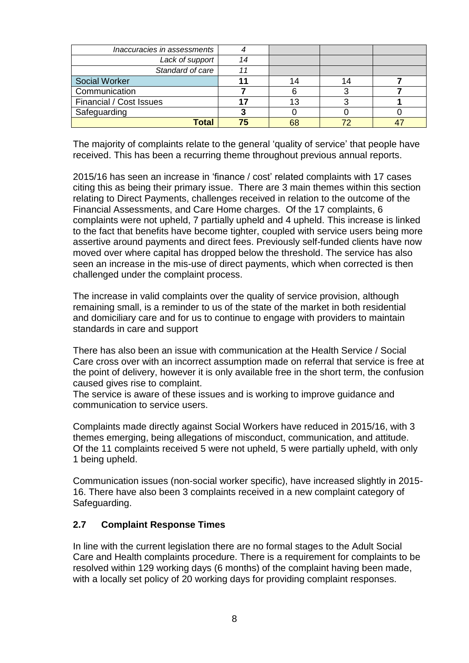| Inaccuracies in assessments |    |    |  |
|-----------------------------|----|----|--|
| Lack of support             | 14 |    |  |
| Standard of care            |    |    |  |
| <b>Social Worker</b>        |    |    |  |
| Communication               |    |    |  |
| Financial / Cost Issues     |    |    |  |
| Safeguarding                |    |    |  |
| Total                       | 75 | 68 |  |

The majority of complaints relate to the general 'quality of service' that people have received. This has been a recurring theme throughout previous annual reports.

2015/16 has seen an increase in 'finance / cost' related complaints with 17 cases citing this as being their primary issue. There are 3 main themes within this section relating to Direct Payments, challenges received in relation to the outcome of the Financial Assessments, and Care Home charges. Of the 17 complaints, 6 complaints were not upheld, 7 partially upheld and 4 upheld. This increase is linked to the fact that benefits have become tighter, coupled with service users being more assertive around payments and direct fees. Previously self-funded clients have now moved over where capital has dropped below the threshold. The service has also seen an increase in the mis-use of direct payments, which when corrected is then challenged under the complaint process.

The increase in valid complaints over the quality of service provision, although remaining small, is a reminder to us of the state of the market in both residential and domiciliary care and for us to continue to engage with providers to maintain standards in care and support

There has also been an issue with communication at the Health Service / Social Care cross over with an incorrect assumption made on referral that service is free at the point of delivery, however it is only available free in the short term, the confusion caused gives rise to complaint.

The service is aware of these issues and is working to improve guidance and communication to service users.

Complaints made directly against Social Workers have reduced in 2015/16, with 3 themes emerging, being allegations of misconduct, communication, and attitude. Of the 11 complaints received 5 were not upheld, 5 were partially upheld, with only 1 being upheld.

Communication issues (non-social worker specific), have increased slightly in 2015- 16. There have also been 3 complaints received in a new complaint category of Safeguarding.

### **2.7 Complaint Response Times**

In line with the current legislation there are no formal stages to the Adult Social Care and Health complaints procedure. There is a requirement for complaints to be resolved within 129 working days (6 months) of the complaint having been made, with a locally set policy of 20 working days for providing complaint responses.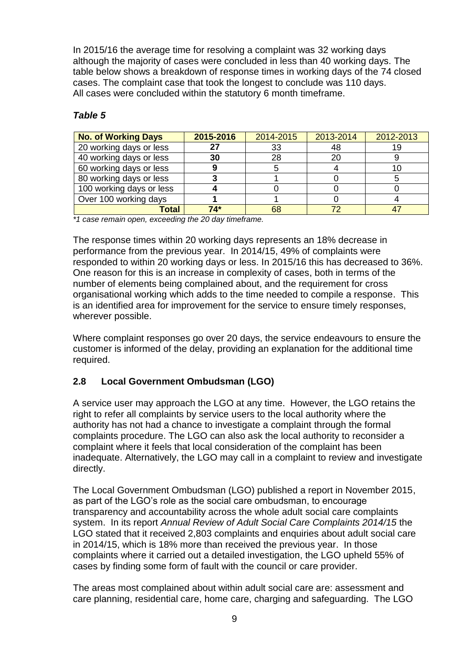In 2015/16 the average time for resolving a complaint was 32 working days although the majority of cases were concluded in less than 40 working days. The table below shows a breakdown of response times in working days of the 74 closed cases. The complaint case that took the longest to conclude was 110 days. All cases were concluded within the statutory 6 month timeframe.

## *Table 5*

| <b>No. of Working Days</b> | 2015-2016 | 2014-2015 | 2013-2014 | 2012-2013 |
|----------------------------|-----------|-----------|-----------|-----------|
| 20 working days or less    | 27        | 33        | 48        |           |
| 40 working days or less    | 30        | 28        | 20        |           |
| 60 working days or less    |           |           |           |           |
| 80 working days or less    |           |           |           |           |
| 100 working days or less   |           |           |           |           |
| Over 100 working days      |           |           |           |           |
| Total                      | $74*$     | 68        |           |           |

*\*1 case remain open, exceeding the 20 day timeframe.*

The response times within 20 working days represents an 18% decrease in performance from the previous year. In 2014/15, 49% of complaints were responded to within 20 working days or less. In 2015/16 this has decreased to 36%. One reason for this is an increase in complexity of cases, both in terms of the number of elements being complained about, and the requirement for cross organisational working which adds to the time needed to compile a response. This is an identified area for improvement for the service to ensure timely responses, wherever possible.

Where complaint responses go over 20 days, the service endeavours to ensure the customer is informed of the delay, providing an explanation for the additional time required.

### **2.8 Local Government Ombudsman (LGO)**

A service user may approach the LGO at any time. However, the LGO retains the right to refer all complaints by service users to the local authority where the authority has not had a chance to investigate a complaint through the formal complaints procedure. The LGO can also ask the local authority to reconsider a complaint where it feels that local consideration of the complaint has been inadequate. Alternatively, the LGO may call in a complaint to review and investigate directly.

The Local Government Ombudsman (LGO) published a report in November 2015, as part of the LGO's role as the social care ombudsman, to encourage transparency and accountability across the whole adult social care complaints system. In its report *Annual Review of Adult Social Care Complaints 2014/15* the LGO stated that it received 2,803 complaints and enquiries about adult social care in 2014/15, which is 18% more than received the previous year. In those complaints where it carried out a detailed investigation, the LGO upheld 55% of cases by finding some form of fault with the council or care provider.

The areas most complained about within adult social care are: assessment and care planning, residential care, home care, charging and safeguarding. The LGO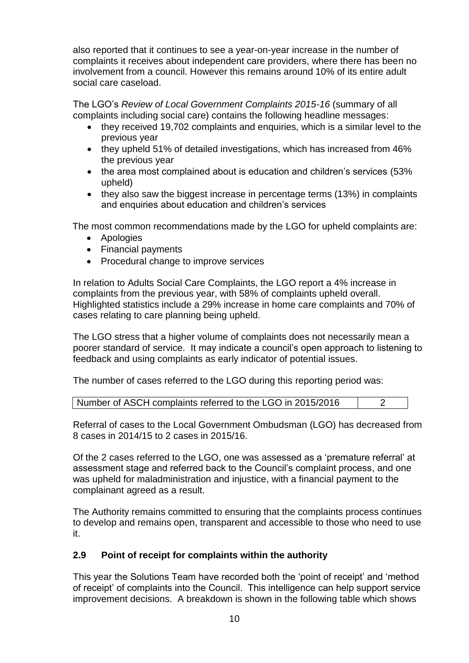also reported that it continues to see a year-on-year increase in the number of complaints it receives about independent care providers, where there has been no involvement from a council. However this remains around 10% of its entire adult social care caseload.

The LGO's *Review of Local Government Complaints 2015-16* (summary of all complaints including social care) contains the following headline messages:

- they received 19,702 complaints and enquiries, which is a similar level to the previous year
- they upheld 51% of detailed investigations, which has increased from 46% the previous year
- the area most complained about is education and children's services (53%) upheld)
- they also saw the biggest increase in percentage terms (13%) in complaints and enquiries about education and children's services

The most common recommendations made by the LGO for upheld complaints are:

- Apologies
- Financial payments
- Procedural change to improve services

In relation to Adults Social Care Complaints, the LGO report a 4% increase in complaints from the previous year, with 58% of complaints upheld overall. Highlighted statistics include a 29% increase in home care complaints and 70% of cases relating to care planning being upheld.

The LGO stress that a higher volume of complaints does not necessarily mean a poorer standard of service. It may indicate a council's open approach to listening to feedback and using complaints as early indicator of potential issues.

The number of cases referred to the LGO during this reporting period was:

| Number of ASCH complaints referred to the LGO in 2015/2016 |  |
|------------------------------------------------------------|--|
|------------------------------------------------------------|--|

Referral of cases to the Local Government Ombudsman (LGO) has decreased from 8 cases in 2014/15 to 2 cases in 2015/16.

Of the 2 cases referred to the LGO, one was assessed as a 'premature referral' at assessment stage and referred back to the Council's complaint process, and one was upheld for maladministration and injustice, with a financial payment to the complainant agreed as a result.

The Authority remains committed to ensuring that the complaints process continues to develop and remains open, transparent and accessible to those who need to use it.

### **2.9 Point of receipt for complaints within the authority**

This year the Solutions Team have recorded both the 'point of receipt' and 'method of receipt' of complaints into the Council. This intelligence can help support service improvement decisions. A breakdown is shown in the following table which shows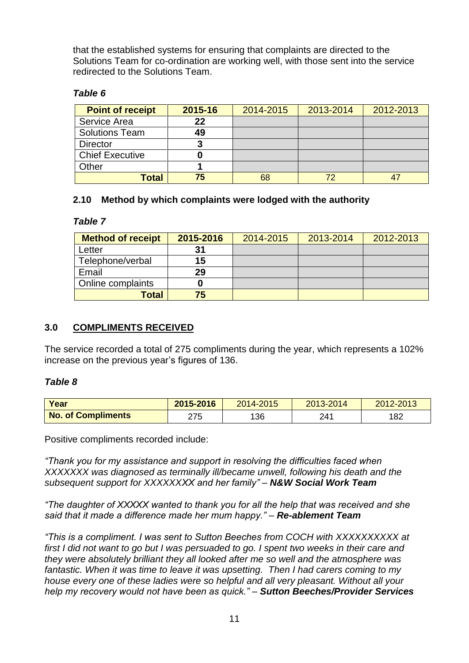that the established systems for ensuring that complaints are directed to the Solutions Team for co-ordination are working well, with those sent into the service redirected to the Solutions Team.

#### *Table 6*

| <b>Point of receipt</b> | 2015-16 | 2014-2015 | 2013-2014 | 2012-2013 |
|-------------------------|---------|-----------|-----------|-----------|
| Service Area            | 22      |           |           |           |
| <b>Solutions Team</b>   | 49      |           |           |           |
| <b>Director</b>         | 3       |           |           |           |
| <b>Chief Executive</b>  |         |           |           |           |
| Other                   |         |           |           |           |
| Total                   | 75      | 68        | 72        |           |

### **2.10 Method by which complaints were lodged with the authority**

#### *Table 7*

| <b>Method of receipt</b> | 2015-2016 | 2014-2015 | 2013-2014 | 2012-2013 |
|--------------------------|-----------|-----------|-----------|-----------|
| Letter                   | 31        |           |           |           |
| Telephone/verbal         | 15        |           |           |           |
| Email                    | 29        |           |           |           |
| Online complaints        |           |           |           |           |
| <b>Total</b>             | 75        |           |           |           |

### **3.0 COMPLIMENTS RECEIVED**

The service recorded a total of 275 compliments during the year, which represents a 102% increase on the previous year's figures of 136.

#### *Table 8*

| Year                      | 2015-2016 | 2014-2015 | 2013-2014 | 2012-2013 |
|---------------------------|-----------|-----------|-----------|-----------|
| <b>No. of Compliments</b> | 275       | 136       | 241       | 182       |

Positive compliments recorded include:

*"Thank you for my assistance and support in resolving the difficulties faced when XXXXXXX was diagnosed as terminally ill/became unwell, following his death and the subsequent support for XXXXXXXX and her family" – N&W Social Work Team*

*"The daughter of XXXXX wanted to thank you for all the help that was received and she said that it made a difference made her mum happy." – Re-ablement Team*

*"This is a compliment. I was sent to Sutton Beeches from COCH with XXXXXXXXXX at first I did not want to go but I was persuaded to go. I spent two weeks in their care and they were absolutely brilliant they all looked after me so well and the atmosphere was*  fantastic. When it was time to leave it was upsetting. Then I had carers coming to my *house every one of these ladies were so helpful and all very pleasant. Without all your help my recovery would not have been as quick." – Sutton Beeches/Provider Services*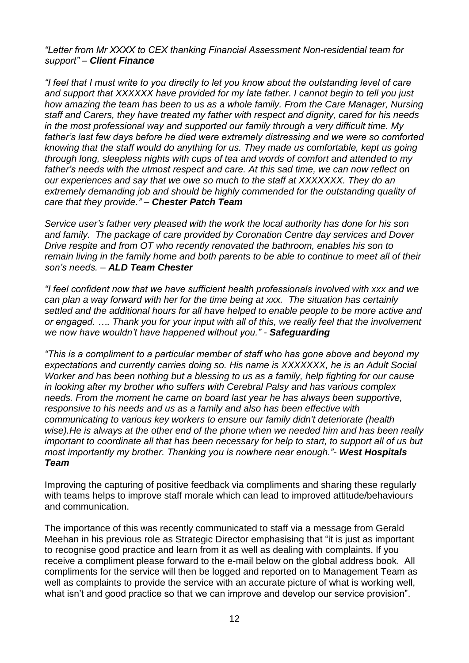*"Letter from Mr XXXX to CEX thanking Financial Assessment Non-residential team for support" – Client Finance*

*"I feel that I must write to you directly to let you know about the outstanding level of care and support that XXXXXX have provided for my late father. I cannot begin to tell you just how amazing the team has been to us as a whole family. From the Care Manager, Nursing staff and Carers, they have treated my father with respect and dignity, cared for his needs in the most professional way and supported our family through a very difficult time. My father's last few days before he died were extremely distressing and we were so comforted knowing that the staff would do anything for us. They made us comfortable, kept us going through long, sleepless nights with cups of tea and words of comfort and attended to my father's needs with the utmost respect and care. At this sad time, we can now reflect on our experiences and say that we owe so much to the staff at XXXXXXX. They do an*  extremely demanding job and should be highly commended for the outstanding quality of *care that they provide." – Chester Patch Team*

*Service user's father very pleased with the work the local authority has done for his son and family. The package of care provided by Coronation Centre day services and Dover Drive respite and from OT who recently renovated the bathroom, enables his son to remain living in the family home and both parents to be able to continue to meet all of their son's needs. – ALD Team Chester*

*"I feel confident now that we have sufficient health professionals involved with xxx and we can plan a way forward with her for the time being at xxx. The situation has certainly settled and the additional hours for all have helped to enable people to be more active and or engaged. …. Thank you for your input with all of this, we really feel that the involvement we now have wouldn't have happened without you." - Safeguarding*

*"This is a compliment to a particular member of staff who has gone above and beyond my expectations and currently carries doing so. His name is XXXXXXX, he is an Adult Social Worker and has been nothing but a blessing to us as a family, help fighting for our cause in looking after my brother who suffers with Cerebral Palsy and has various complex needs. From the moment he came on board last year he has always been supportive, responsive to his needs and us as a family and also has been effective with communicating to various key workers to ensure our family didn't deteriorate (health wise).He is always at the other end of the phone when we needed him and has been really important to coordinate all that has been necessary for help to start, to support all of us but most importantly my brother. Thanking you is nowhere near enough."- West Hospitals Team*

Improving the capturing of positive feedback via compliments and sharing these regularly with teams helps to improve staff morale which can lead to improved attitude/behaviours and communication.

The importance of this was recently communicated to staff via a message from Gerald Meehan in his previous role as Strategic Director emphasising that "it is just as important to recognise good practice and learn from it as well as dealing with complaints. If you receive a compliment please forward to the e-mail below on the global address book. All compliments for the service will then be logged and reported on to Management Team as well as complaints to provide the service with an accurate picture of what is working well, what isn't and good practice so that we can improve and develop our service provision".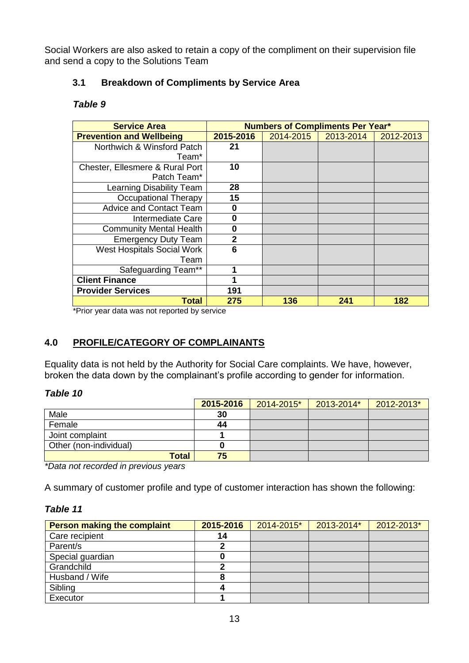Social Workers are also asked to retain a copy of the compliment on their supervision file and send a copy to the Solutions Team

## **3.1 Breakdown of Compliments by Service Area**

#### *Table 9*

| <b>Service Area</b>               | <b>Numbers of Compliments Per Year*</b> |           |           |           |
|-----------------------------------|-----------------------------------------|-----------|-----------|-----------|
| <b>Prevention and Wellbeing</b>   | 2015-2016                               | 2014-2015 | 2013-2014 | 2012-2013 |
| Northwich & Winsford Patch        | 21                                      |           |           |           |
| Team*                             |                                         |           |           |           |
| Chester, Ellesmere & Rural Port   | 10                                      |           |           |           |
| Patch Team*                       |                                         |           |           |           |
| Learning Disability Team          | 28                                      |           |           |           |
| Occupational Therapy              | 15                                      |           |           |           |
| <b>Advice and Contact Team</b>    | 0                                       |           |           |           |
| Intermediate Care                 | 0                                       |           |           |           |
| <b>Community Mental Health</b>    | 0                                       |           |           |           |
| <b>Emergency Duty Team</b>        | $\overline{2}$                          |           |           |           |
| <b>West Hospitals Social Work</b> | 6                                       |           |           |           |
| Team                              |                                         |           |           |           |
| Safeguarding Team**               |                                         |           |           |           |
| <b>Client Finance</b>             |                                         |           |           |           |
| <b>Provider Services</b>          | 191                                     |           |           |           |
| <b>Total</b>                      | 275                                     | 136       | 241       | 182       |

\*Prior year data was not reported by service

# **4.0 PROFILE/CATEGORY OF COMPLAINANTS**

Equality data is not held by the Authority for Social Care complaints. We have, however, broken the data down by the complainant's profile according to gender for information.

#### *Table 10*

|                        | 2015-2016 | 2014-2015* | 2013-2014* | 2012-2013* |
|------------------------|-----------|------------|------------|------------|
| Male                   | 30        |            |            |            |
| Female                 | 44        |            |            |            |
| Joint complaint        |           |            |            |            |
| Other (non-individual) | O         |            |            |            |
| <b>Total</b>           | 75        |            |            |            |

*\*Data not recorded in previous years*

A summary of customer profile and type of customer interaction has shown the following:

## *Table 11*

| <b>Person making the complaint</b> | 2015-2016 | 2014-2015* | 2013-2014* | 2012-2013* |
|------------------------------------|-----------|------------|------------|------------|
| Care recipient                     | 14        |            |            |            |
| Parent/s                           |           |            |            |            |
| Special guardian                   |           |            |            |            |
| Grandchild                         | າ         |            |            |            |
| Husband / Wife                     | 8         |            |            |            |
| Sibling                            |           |            |            |            |
| Executor                           |           |            |            |            |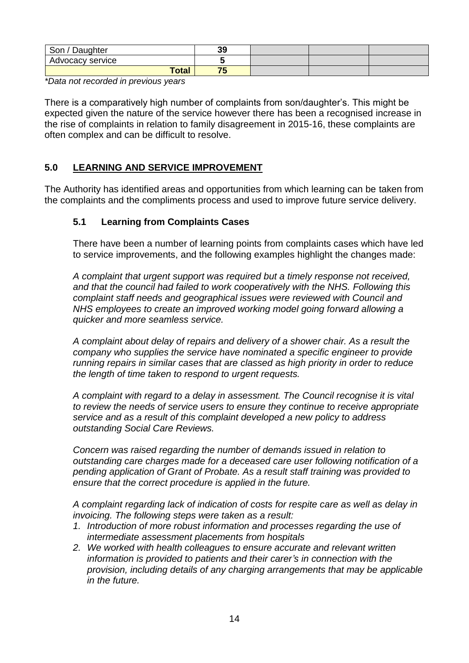| Son / Daughter   | 39 |  |  |
|------------------|----|--|--|
| Advocacy service |    |  |  |
| <b>Total</b>     | 75 |  |  |

*\*Data not recorded in previous years*

There is a comparatively high number of complaints from son/daughter's. This might be expected given the nature of the service however there has been a recognised increase in the rise of complaints in relation to family disagreement in 2015-16, these complaints are often complex and can be difficult to resolve.

#### **5.0 LEARNING AND SERVICE IMPROVEMENT**

The Authority has identified areas and opportunities from which learning can be taken from the complaints and the compliments process and used to improve future service delivery.

#### **5.1 Learning from Complaints Cases**

There have been a number of learning points from complaints cases which have led to service improvements, and the following examples highlight the changes made:

*A complaint that urgent support was required but a timely response not received, and that the council had failed to work cooperatively with the NHS. Following this complaint staff needs and geographical issues were reviewed with Council and NHS employees to create an improved working model going forward allowing a quicker and more seamless service.*

*A complaint about delay of repairs and delivery of a shower chair. As a result the company who supplies the service have nominated a specific engineer to provide running repairs in similar cases that are classed as high priority in order to reduce the length of time taken to respond to urgent requests.*

*A complaint with regard to a delay in assessment. The Council recognise it is vital to review the needs of service users to ensure they continue to receive appropriate service and as a result of this complaint developed a new policy to address outstanding Social Care Reviews.*

*Concern was raised regarding the number of demands issued in relation to outstanding care charges made for a deceased care user following notification of a pending application of Grant of Probate. As a result staff training was provided to ensure that the correct procedure is applied in the future.*

*A complaint regarding lack of indication of costs for respite care as well as delay in invoicing. The following steps were taken as a result:*

- *1. Introduction of more robust information and processes regarding the use of intermediate assessment placements from hospitals*
- *2. We worked with health colleagues to ensure accurate and relevant written information is provided to patients and their carer's in connection with the provision, including details of any charging arrangements that may be applicable in the future.*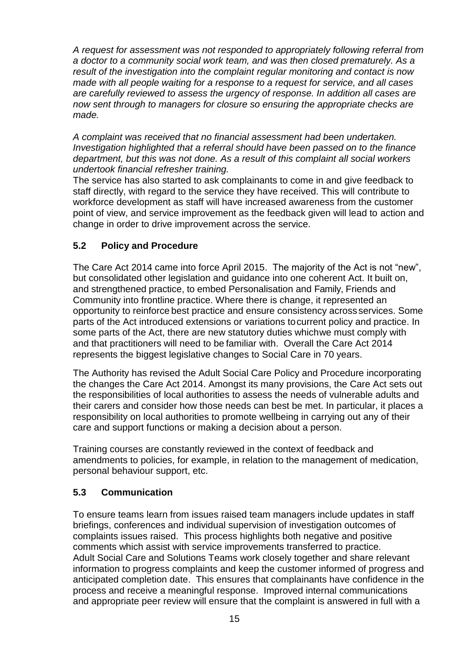*A request for assessment was not responded to appropriately following referral from a doctor to a community social work team, and was then closed prematurely. As a result of the investigation into the complaint regular monitoring and contact is now made with all people waiting for a response to a request for service, and all cases are carefully reviewed to assess the urgency of response. In addition all cases are now sent through to managers for closure so ensuring the appropriate checks are made.*

*A complaint was received that no financial assessment had been undertaken. Investigation highlighted that a referral should have been passed on to the finance department, but this was not done. As a result of this complaint all social workers undertook financial refresher training.*

The service has also started to ask complainants to come in and give feedback to staff directly, with regard to the service they have received. This will contribute to workforce development as staff will have increased awareness from the customer point of view, and service improvement as the feedback given will lead to action and change in order to drive improvement across the service.

## **5.2 Policy and Procedure**

The Care Act 2014 came into force April 2015. The majority of the Act is not "new", but consolidated other legislation and guidance into one coherent Act. It built on, and strengthened practice, to embed Personalisation and Family, Friends and Community into frontline practice. Where there is change, it represented an opportunity to reinforce best practice and ensure consistency across services. Some parts of the Act introduced extensions or variations tocurrent policy and practice. In some parts of the Act, there are new statutory duties whichwe must comply with and that practitioners will need to be familiar with. Overall the Care Act 2014 represents the biggest legislative changes to Social Care in 70 years.

The Authority has revised the Adult Social Care Policy and Procedure incorporating the changes the Care Act 2014. Amongst its many provisions, the Care Act sets out the responsibilities of local authorities to assess the needs of vulnerable adults and their carers and consider how those needs can best be met. In particular, it places a responsibility on local authorities to promote wellbeing in carrying out any of their care and support functions or making a decision about a person.

Training courses are constantly reviewed in the context of feedback and amendments to policies, for example, in relation to the management of medication, personal behaviour support, etc.

### **5.3 Communication**

To ensure teams learn from issues raised team managers include updates in staff briefings, conferences and individual supervision of investigation outcomes of complaints issues raised. This process highlights both negative and positive comments which assist with service improvements transferred to practice. Adult Social Care and Solutions Teams work closely together and share relevant information to progress complaints and keep the customer informed of progress and anticipated completion date. This ensures that complainants have confidence in the process and receive a meaningful response. Improved internal communications and appropriate peer review will ensure that the complaint is answered in full with a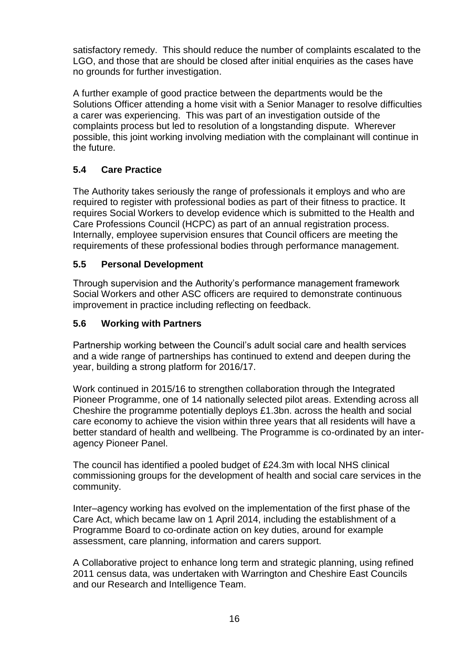satisfactory remedy. This should reduce the number of complaints escalated to the LGO, and those that are should be closed after initial enquiries as the cases have no grounds for further investigation.

A further example of good practice between the departments would be the Solutions Officer attending a home visit with a Senior Manager to resolve difficulties a carer was experiencing. This was part of an investigation outside of the complaints process but led to resolution of a longstanding dispute. Wherever possible, this joint working involving mediation with the complainant will continue in the future.

## **5.4 Care Practice**

The Authority takes seriously the range of professionals it employs and who are required to register with professional bodies as part of their fitness to practice. It requires Social Workers to develop evidence which is submitted to the Health and Care Professions Council (HCPC) as part of an annual registration process. Internally, employee supervision ensures that Council officers are meeting the requirements of these professional bodies through performance management.

### **5.5 Personal Development**

Through supervision and the Authority's performance management framework Social Workers and other ASC officers are required to demonstrate continuous improvement in practice including reflecting on feedback.

#### **5.6 Working with Partners**

Partnership working between the Council's adult social care and health services and a wide range of partnerships has continued to extend and deepen during the year, building a strong platform for 2016/17.

Work continued in 2015/16 to strengthen collaboration through the Integrated Pioneer Programme, one of 14 nationally selected pilot areas. Extending across all Cheshire the programme potentially deploys £1.3bn. across the health and social care economy to achieve the vision within three years that all residents will have a better standard of health and wellbeing. The Programme is co-ordinated by an interagency Pioneer Panel.

The council has identified a pooled budget of £24.3m with local NHS clinical commissioning groups for the development of health and social care services in the community.

Inter–agency working has evolved on the implementation of the first phase of the Care Act, which became law on 1 April 2014, including the establishment of a Programme Board to co-ordinate action on key duties, around for example assessment, care planning, information and carers support.

A Collaborative project to enhance long term and strategic planning, using refined 2011 census data, was undertaken with Warrington and Cheshire East Councils and our Research and Intelligence Team.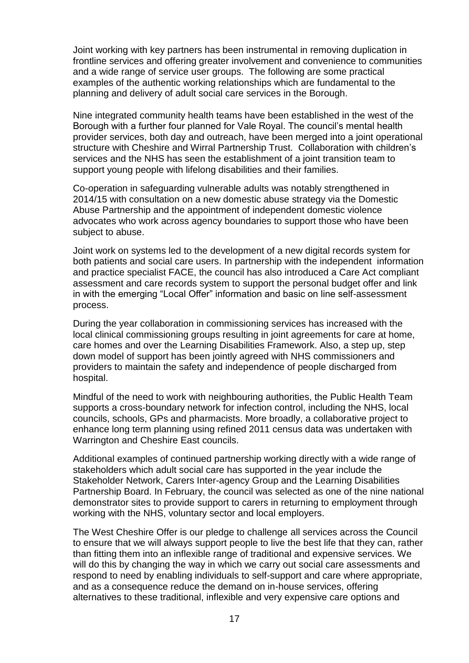Joint working with key partners has been instrumental in removing duplication in frontline services and offering greater involvement and convenience to communities and a wide range of service user groups. The following are some practical examples of the authentic working relationships which are fundamental to the planning and delivery of adult social care services in the Borough.

Nine integrated community health teams have been established in the west of the Borough with a further four planned for Vale Royal. The council's mental health provider services, both day and outreach, have been merged into a joint operational structure with Cheshire and Wirral Partnership Trust. Collaboration with children's services and the NHS has seen the establishment of a joint transition team to support young people with lifelong disabilities and their families.

Co-operation in safeguarding vulnerable adults was notably strengthened in 2014/15 with consultation on a new domestic abuse strategy via the Domestic Abuse Partnership and the appointment of independent domestic violence advocates who work across agency boundaries to support those who have been subject to abuse.

Joint work on systems led to the development of a new digital records system for both patients and social care users. In partnership with the independent information and practice specialist FACE, the council has also introduced a Care Act compliant assessment and care records system to support the personal budget offer and link in with the emerging "Local Offer" information and basic on line self-assessment process.

During the year collaboration in commissioning services has increased with the local clinical commissioning groups resulting in joint agreements for care at home, care homes and over the Learning Disabilities Framework. Also, a step up, step down model of support has been jointly agreed with NHS commissioners and providers to maintain the safety and independence of people discharged from hospital.

Mindful of the need to work with neighbouring authorities, the Public Health Team supports a cross-boundary network for infection control, including the NHS, local councils, schools, GPs and pharmacists. More broadly, a collaborative project to enhance long term planning using refined 2011 census data was undertaken with Warrington and Cheshire East councils.

Additional examples of continued partnership working directly with a wide range of stakeholders which adult social care has supported in the year include the Stakeholder Network, Carers Inter-agency Group and the Learning Disabilities Partnership Board. In February, the council was selected as one of the nine national demonstrator sites to provide support to carers in returning to employment through working with the NHS, voluntary sector and local employers.

The West Cheshire Offer is our pledge to challenge all services across the Council to ensure that we will always support people to live the best life that they can, rather than fitting them into an inflexible range of traditional and expensive services. We will do this by changing the way in which we carry out social care assessments and respond to need by enabling individuals to self-support and care where appropriate, and as a consequence reduce the demand on in-house services, offering alternatives to these traditional, inflexible and very expensive care options and